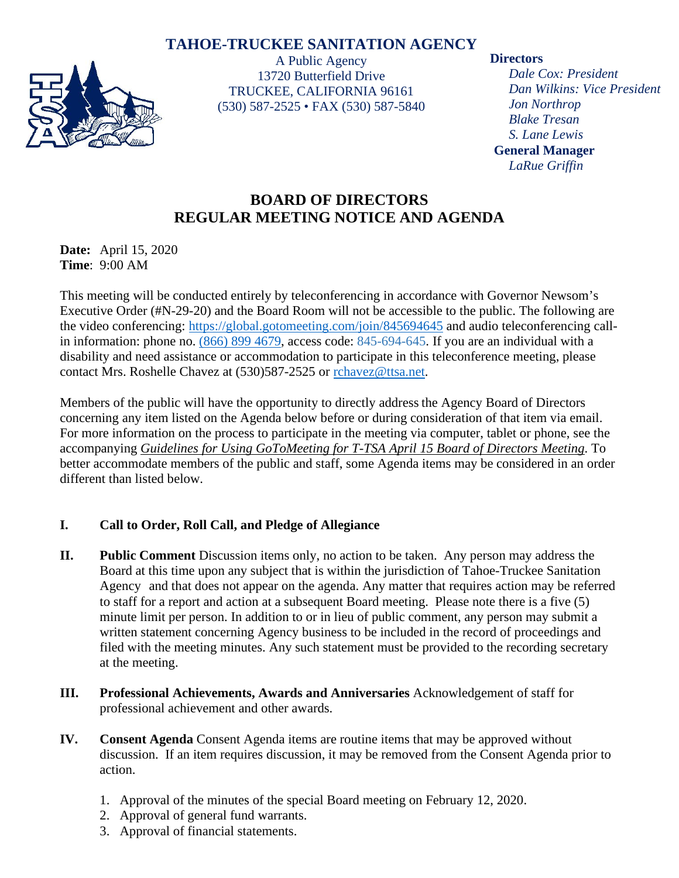# **TAHOE-TRUCKEE SANITATION AGENCY**



A Public Agency 13720 Butterfield Drive TRUCKEE, CALIFORNIA 96161 (530) 587-2525 • FAX (530) 587-5840

#### **Directors**

*Dale Cox: President Dan Wilkins: Vice President Jon Northrop Blake Tresan S. Lane Lewis* **General Manager** *LaRue Griffin*

# **BOARD OF DIRECTORS REGULAR MEETING NOTICE AND AGENDA**

**Date:** April 15, 2020 **Time**: 9:00 AM

This meeting will be conducted entirely by teleconferencing in accordance with Governor Newsom's Executive Order (#N-29-20) and the Board Room will not be accessible to the public. The following are the video conferencing:<https://global.gotomeeting.com/join/845694645>and audio teleconferencing callin information: phone no. [\(866\) 899 4679,](tel:+18668994679,,845694645) access code: 845-694-645. If you are an individual with a disability and need assistance or accommodation to participate in this teleconference meeting, please contact Mrs. Roshelle Chavez at (530)587-2525 or [rchavez@ttsa.net.](mailto:rchavez@ttsa.net)

Members of the public will have the opportunity to directly address the Agency Board of Directors concerning any item listed on the Agenda below before or during consideration of that item via email. For more information on the process to participate in the meeting via computer, tablet or phone, see the accompanying *Guidelines for Using GoToMeeting for T-TSA April 15 Board of Directors Meeting*. To better accommodate members of the public and staff, some Agenda items may be considered in an order different than listed below.

## **I. Call to Order, Roll Call, and Pledge of Allegiance**

- **II. Public Comment** Discussion items only, no action to be taken. Any person may address the Board at this time upon any subject that is within the jurisdiction of Tahoe-Truckee Sanitation Agency and that does not appear on the agenda. Any matter that requires action may be referred to staff for a report and action at a subsequent Board meeting. Please note there is a five (5) minute limit per person. In addition to or in lieu of public comment, any person may submit a written statement concerning Agency business to be included in the record of proceedings and filed with the meeting minutes. Any such statement must be provided to the recording secretary at the meeting.
- **III. Professional Achievements, Awards and Anniversaries** Acknowledgement of staff for professional achievement and other awards.
- **IV. Consent Agenda** Consent Agenda items are routine items that may be approved without discussion. If an item requires discussion, it may be removed from the Consent Agenda prior to action.
	- 1. Approval of the minutes of the special Board meeting on February 12, 2020.
	- 2. Approval of general fund warrants.
	- 3. Approval of financial statements.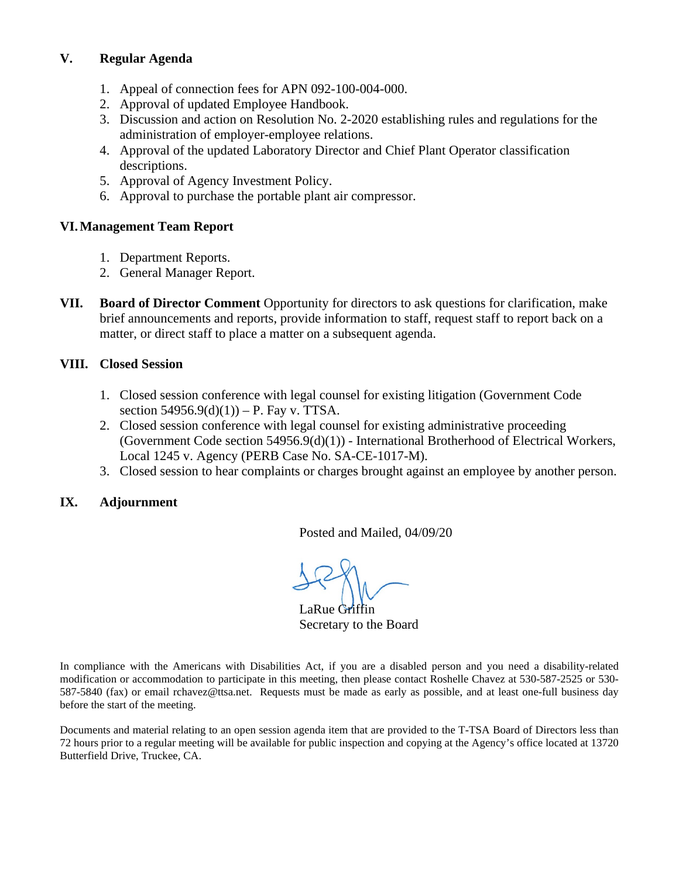#### **V. Regular Agenda**

- 1. Appeal of connection fees for APN 092-100-004-000.
- 2. Approval of updated Employee Handbook.
- 3. Discussion and action on Resolution No. 2-2020 establishing rules and regulations for the administration of employer-employee relations.
- 4. Approval of the updated Laboratory Director and Chief Plant Operator classification descriptions.
- 5. Approval of Agency Investment Policy.
- 6. Approval to purchase the portable plant air compressor.

#### **VI.Management Team Report**

- 1. Department Reports.
- 2. General Manager Report.
- **VII. Board of Director Comment** Opportunity for directors to ask questions for clarification, make brief announcements and reports, provide information to staff, request staff to report back on a matter, or direct staff to place a matter on a subsequent agenda.

#### **VIII. Closed Session**

- 1. Closed session conference with legal counsel for existing litigation (Government Code section  $54956.9(d)(1)$ ) – P. Fay v. TTSA.
- 2. Closed session conference with legal counsel for existing administrative proceeding (Government Code section 54956.9(d)(1)) - International Brotherhood of Electrical Workers, Local 1245 v. Agency (PERB Case No. SA-CE-1017-M).
- 3. Closed session to hear complaints or charges brought against an employee by another person.

#### **IX. Adjournment**

Posted and Mailed, 04/09/20

 $\overline{\phantom{a}}$ 

LaRue Griffin Secretary to the Board

In compliance with the Americans with Disabilities Act, if you are a disabled person and you need a disability-related modification or accommodation to participate in this meeting, then please contact Roshelle Chavez at 530-587-2525 or 530- 587-5840 (fax) or email rchavez@ttsa.net. Requests must be made as early as possible, and at least one-full business day before the start of the meeting.

Documents and material relating to an open session agenda item that are provided to the T-TSA Board of Directors less than 72 hours prior to a regular meeting will be available for public inspection and copying at the Agency's office located at 13720 Butterfield Drive, Truckee, CA.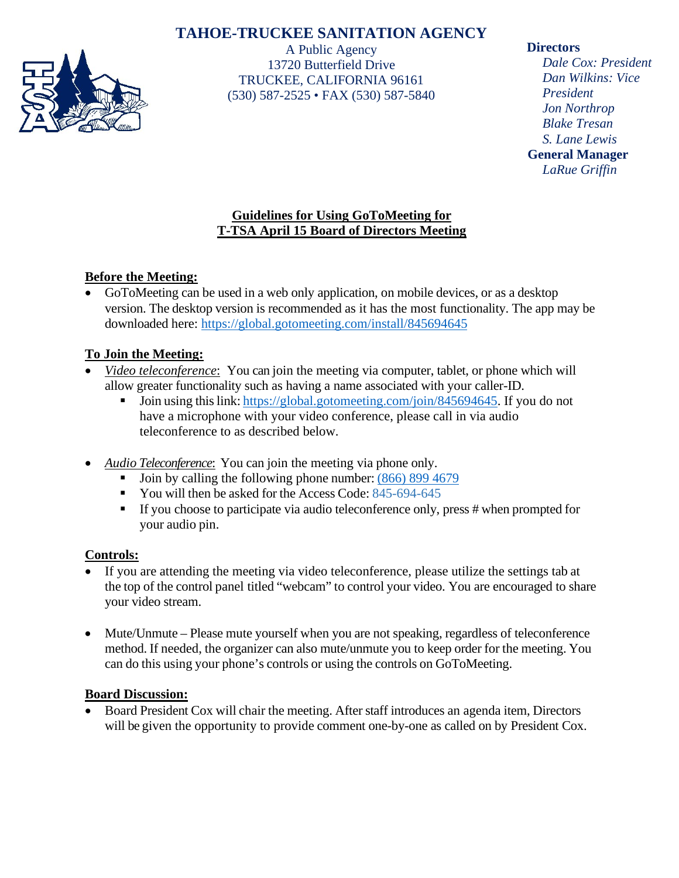# **TAHOE-TRUCKEE SANITATION AGENCY**



A Public Agency 13720 Butterfield Drive TRUCKEE, CALIFORNIA 96161 (530) 587-2525 • FAX (530) 587-5840

#### **Directors**

*Dale Cox: President Dan Wilkins: Vice President Jon Northrop Blake Tresan S. Lane Lewis* **General Manager** *LaRue Griffin*

## **Guidelines for Using GoToMeeting for T-TSA April 15 Board of Directors Meeting**

## **Before the Meeting:**

• GoToMeeting can be used in a web only application, on mobile devices, or as a desktop version. The desktop version is recommended as it has the most functionality. The app may be downloaded here:<https://global.gotomeeting.com/install/845694645>

## **To Join the Meeting:**

- *Video teleconference*: You can join the meeting via computer, tablet, or phone which will allow greater functionality such as having a name associated with your caller-ID.
	- Join using this link: [https://global.gotomeeting.com/join/845694645.](https://global.gotomeeting.com/join/845694645) If you do not have a microphone with your video conference, please call in via audio teleconference to as described below.
- *Audio Teleconference*: You can join the meeting via phone only.
	- $\blacksquare$  Join by calling the following phone number: (866) [899 4679](tel:+18668994679,,845694645)
	- You will then be asked for the Access Code: 845-694-645
	- If you choose to participate via audio teleconference only, press # when prompted for your audio pin.

## **Controls:**

- If you are attending the meeting via video teleconference, please utilize the settings tab at the top of the control panel titled "webcam" to control your video. You are encouraged to share your video stream.
- Mute/Unmute Please mute yourself when you are not speaking, regardless of teleconference method. If needed, the organizer can also mute/unmute you to keep order for the meeting. You can do this using your phone's controls or using the controls on GoToMeeting.

## **Board Discussion:**

• Board President Cox will chair the meeting. After staff introduces an agenda item, Directors will be given the opportunity to provide comment one-by-one as called on by President Cox.